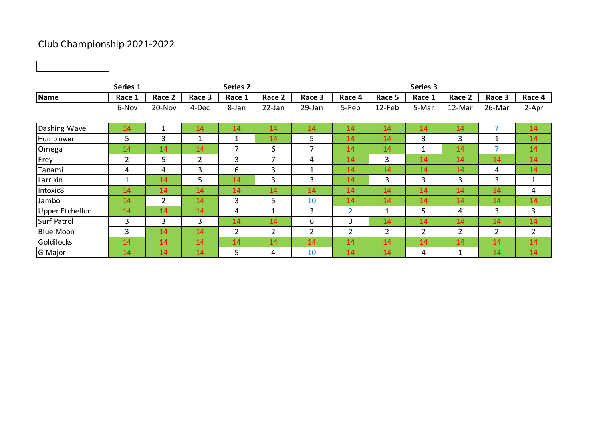## Club Championship 2021-2022

|                        | Series 1       |                |                | <b>Series 2</b> |                |        |                |                | Series 3     |        |                |                |
|------------------------|----------------|----------------|----------------|-----------------|----------------|--------|----------------|----------------|--------------|--------|----------------|----------------|
| Name                   | Race 1         | Race 2         | Race 3         | Race 1          | Race 2         | Race 3 | Race 4         | Race 5         | Race 1       | Race 2 | Race 3         | Race 4         |
|                        | 6-Nov          | 20-Nov         | 4-Dec          | 8-Jan           | 22-Jan         | 29-Jan | 5-Feb          | 12-Feb         | 5-Mar        | 12-Mar | 26-Mar         | 2-Apr          |
| Dashing Wave           | 14             | $\mathbf 1$    | 14             | 14              | 14             | 14     | 14             | 14             | 14           | 14     | $\overline{7}$ | 14             |
| Hornblower             | 5              | 3              | 1              | -1              | 14             | 5      | 14             | 14             | 3            | 3      | 1              | 14             |
| Omega                  | 14             | 14             | 14             | $\overline{7}$  | 6              | 7      | 14             | 14             | $\mathbf{1}$ | 14     | ⇁              | 14             |
| Frey                   | $\overline{2}$ | 5              | $\overline{2}$ | 3               | $\overline{7}$ | 4      | 14             | 3              | 14           | 14     | 14             | 14             |
| Tanami                 | 4              | 4              | 3              | 6               | 3              |        | 14             | 14             | 14           | 14     | 4              | 14             |
| Larrikin               | 1              | 14             | 5.             | 14              | 3              | 3      | 14             | 3              | 3            | 3      | 3              | $\mathbf{1}$   |
| Intoxic8               | 14             | 14             | 14             | 14              | 14             | 14     | 14             | 14             | 14           | 14     | 14             | 4              |
| Jambo                  | 14             | $\overline{2}$ | 14             | 3               | 5              | 10     | 14             | 14             | 14           | 14     | 14             | 14             |
| <b>Upper Etchellon</b> | 14             | 14             | 14             | 4               | $\mathbf{1}$   | 3      | $\overline{2}$ | $\mathbf{1}$   | 5            | 4      | 3              | 3              |
| <b>Surf Patrol</b>     | 3              | 3              | 3              | 14              | 14             | 6      | 3              | 14             | 14           | 14     | 14             | 14             |
| <b>Blue Moon</b>       | 3              | 14             | 14             | $\overline{2}$  | $\overline{2}$ | 2      | 2              | $\overline{2}$ | 2            | 2      | $\overline{2}$ | $\overline{2}$ |
| Goldilocks             | 14             | 14             | 14             | 14              | 14             | 14     | 14             | 14             | 14           | 14     | 14             | 14             |
| G Major                | 14             | 14             | 14             | 5               | 4              | 10     | 14             | 14             | 4            |        | 14             | 14             |